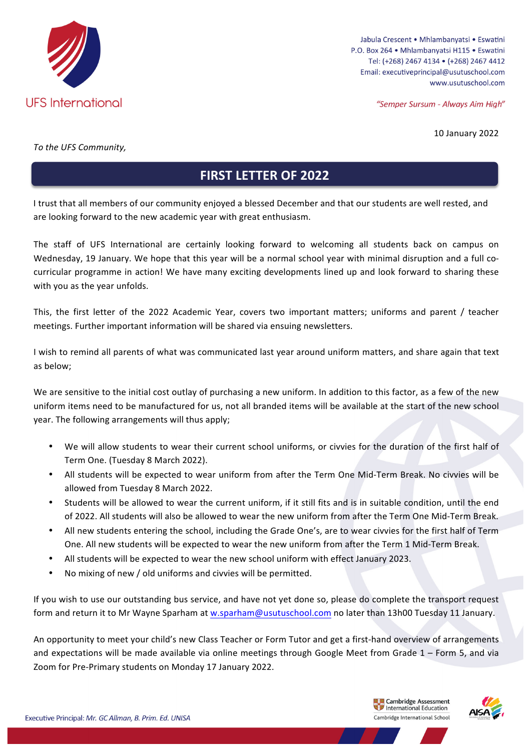

Jabula Crescent . Mhlambanyatsi . Eswatini P.O. Box 264 · Mhlambanyatsi H115 · Eswatini Tel: (+268) 2467 4134 · (+268) 2467 4412 Email: executiveprincipal@usutuschool.com www.usutuschool.com

"Semper Sursum - Always Aim High"

10 January 2022

*To the UFS Community,*

## **FIRST LETTER OF 2022**

I trust that all members of our community enjoyed a blessed December and that our students are well rested, and are looking forward to the new academic year with great enthusiasm.

The staff of UFS International are certainly looking forward to welcoming all students back on campus on Wednesday, 19 January. We hope that this year will be a normal school year with minimal disruption and a full cocurricular programme in action! We have many exciting developments lined up and look forward to sharing these with you as the year unfolds.

This, the first letter of the 2022 Academic Year, covers two important matters; uniforms and parent / teacher meetings. Further important information will be shared via ensuing newsletters.

I wish to remind all parents of what was communicated last year around uniform matters, and share again that text as below;

We are sensitive to the initial cost outlay of purchasing a new uniform. In addition to this factor, as a few of the new uniform items need to be manufactured for us, not all branded items will be available at the start of the new school year. The following arrangements will thus apply;

- We will allow students to wear their current school uniforms, or civvies for the duration of the first half of Term One. (Tuesday 8 March 2022).
- All students will be expected to wear uniform from after the Term One Mid-Term Break. No civvies will be allowed from Tuesday 8 March 2022.
- Students will be allowed to wear the current uniform, if it still fits and is in suitable condition, until the end of 2022. All students will also be allowed to wear the new uniform from after the Term One Mid-Term Break.
- All new students entering the school, including the Grade One's, are to wear civvies for the first half of Term One. All new students will be expected to wear the new uniform from after the Term 1 Mid-Term Break.
- All students will be expected to wear the new school uniform with effect January 2023.
- No mixing of new / old uniforms and civvies will be permitted.

If you wish to use our outstanding bus service, and have not yet done so, please do complete the transport request form and return it to Mr Wayne Sparham at w.sparham@usutuschool.com no later than 13h00 Tuesday 11 January.

An opportunity to meet your child's new Class Teacher or Form Tutor and get a first-hand overview of arrangements and expectations will be made available via online meetings through Google Meet from Grade  $1$  – Form 5, and via Zoom for Pre-Primary students on Monday 17 January 2022.